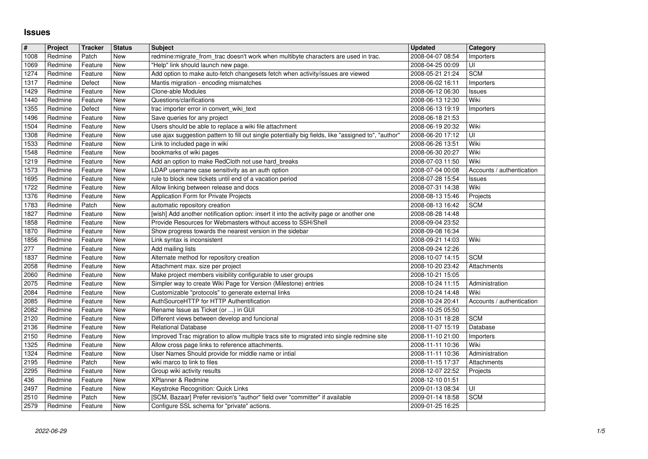## **Issues**

| $\vert$ #    | Project | <b>Tracker</b> | <b>Status</b> | <b>Subject</b>                                                                                                              | <b>Updated</b>                       | Category                  |
|--------------|---------|----------------|---------------|-----------------------------------------------------------------------------------------------------------------------------|--------------------------------------|---------------------------|
| 1008         | Redmine | Patch          | New           | redmine:migrate_from_trac doesn't work when multibyte characters are used in trac.                                          | 2008-04-07 08:54                     | Importers                 |
| 1069         | Redmine | Feature        | New           | "Help" link should launch new page.                                                                                         | 2008-04-25 00:09                     | UI                        |
| 1274         | Redmine | Feature        | New           | Add option to make auto-fetch changesets fetch when activity/issues are viewed                                              | 2008-05-21 21:24                     | <b>SCM</b>                |
| 1317         | Redmine | Defect         | New           | Mantis migration - encoding mismatches                                                                                      | 2008-06-02 16:11                     | Importers                 |
| 1429         | Redmine | Feature        | New           | Clone-able Modules                                                                                                          | 2008-06-12 06:30                     | <b>Issues</b>             |
| 1440         | Redmine | Feature        | New           | Questions/clarifications                                                                                                    | 2008-06-13 12:30                     | Wiki                      |
| 1355         | Redmine | Defect         | New           | trac importer error in convert_wiki_text                                                                                    | 2008-06-13 19:19                     | Importers                 |
| 1496         | Redmine | Feature        | New           | Save queries for any project                                                                                                | 2008-06-18 21:53                     |                           |
| 1504         | Redmine | Feature        | New           | Users should be able to replace a wiki file attachment                                                                      | 2008-06-19 20:32                     | Wiki                      |
| 1308         | Redmine | Feature        | New           | use ajax suggestion pattern to fill out single potentially big fields, like "assigned to", "author"                         | 2008-06-20 17:12                     | UI                        |
| 1533         | Redmine | Feature        | New           | Link to included page in wiki                                                                                               | 2008-06-26 13:51                     | Wiki                      |
| 1548         | Redmine | Feature        | New           | bookmarks of wiki pages                                                                                                     | 2008-06-30 20:27                     | Wiki                      |
| 1219         | Redmine | Feature        | New           | Add an option to make RedCloth not use hard_breaks                                                                          | 2008-07-03 11:50                     | Wiki                      |
| 1573         | Redmine | Feature        | New           | LDAP username case sensitivity as an auth option                                                                            | 2008-07-04 00:08                     | Accounts / authentication |
| 1695         | Redmine | Feature        | New           | rule to block new tickets until end of a vacation period                                                                    | 2008-07-28 15:54                     | <b>Issues</b>             |
| 1722         | Redmine | Feature        | New           | Allow linking between release and docs                                                                                      | 2008-07-31 14:38                     | Wiki                      |
| 1376         | Redmine | Feature        | New           | Application Form for Private Projects                                                                                       | 2008-08-13 15:46                     | Projects                  |
| 1783         | Redmine | Patch          | New           | automatic repository creation                                                                                               | 2008-08-13 16:42                     | <b>SCM</b>                |
| 1827         | Redmine | Feature        | New           | [wish] Add another notification option: insert it into the activity page or another one                                     | 2008-08-28 14:48                     |                           |
| 1858         | Redmine | Feature        | New           | Provide Resources for Webmasters without access to SSH/Shell                                                                | 2008-09-04 23:52                     |                           |
| 1870         | Redmine | Feature        | New           | Show progress towards the nearest version in the sidebar                                                                    | 2008-09-08 16:34                     |                           |
| 1856         | Redmine | Feature        | New           | Link syntax is inconsistent                                                                                                 | 2008-09-21 14:03                     | Wiki                      |
| 277          | Redmine | Feature        | New           | Add mailing lists                                                                                                           | 2008-09-24 12:26                     |                           |
| 1837         | Redmine | Feature        | New           | Alternate method for repository creation                                                                                    | 2008-10-07 14:15                     | <b>SCM</b>                |
| 2058         | Redmine | Feature        | New           | Attachment max. size per project                                                                                            | 2008-10-20 23:42                     | Attachments               |
| 2060         | Redmine | Feature        | New           | Make project members visibility configurable to user groups                                                                 | 2008-10-21 15:05                     |                           |
| 2075         | Redmine | Feature        | New           | Simpler way to create Wiki Page for Version (Milestone) entries                                                             | 2008-10-24 11:15                     | Administration            |
| 2084         | Redmine | Feature        | New           | Customizable "protocols" to generate external links                                                                         | 2008-10-24 14:48                     | Wiki                      |
| 2085         | Redmine | Feature        | <b>New</b>    | AuthSourceHTTP for HTTP Authentification                                                                                    | 2008-10-24 20:41                     | Accounts / authentication |
| 2082         | Redmine | Feature        | New           | Rename Issue as Ticket (or ) in GUI                                                                                         | 2008-10-25 05:50                     |                           |
| 2120         | Redmine | Feature        | New           | Different views between develop and funcional                                                                               | 2008-10-31 18:28                     | <b>SCM</b>                |
| 2136         | Redmine | Feature        | New           | <b>Relational Database</b>                                                                                                  | 2008-11-07 15:19                     | Database                  |
| 2150         | Redmine | Feature        | New           | Improved Trac migration to allow multiple tracs site to migrated into single redmine site                                   | 2008-11-10 21:00                     | Importers                 |
| 1325         | Redmine | Feature        | New           | Allow cross page links to reference attachments.                                                                            | 2008-11-11 10:36                     | Wiki                      |
| 1324         | Redmine | Feature        | New           | User Names Should provide for middle name or intial                                                                         | 2008-11-11 10:36                     | Administration            |
| 2195         | Redmine | Patch          | New           | wiki marco to link to files                                                                                                 | 2008-11-15 17:37                     | Attachments               |
| 2295         | Redmine | Feature        | New           | Group wiki activity results                                                                                                 | 2008-12-07 22:52                     | Projects                  |
| 436          | Redmine | Feature        | New           | XPlanner & Redmine                                                                                                          | 2008-12-10 01:51                     |                           |
| 2497         | Redmine | Feature        | New           | Keystroke Recognition: Quick Links                                                                                          | 2009-01-13 08:34                     | U                         |
| 2510<br>2579 | Redmine | Patch          | New<br>New    | [SCM, Bazaar] Prefer revision's "author" field over "committer" if available<br>Configure SSL schema for "private" actions. | 2009-01-14 18:58<br>2009-01-25 16:25 | <b>SCM</b>                |
|              |         |                |               |                                                                                                                             |                                      |                           |
|              |         |                |               |                                                                                                                             |                                      |                           |
|              |         |                |               |                                                                                                                             |                                      |                           |
|              |         |                |               |                                                                                                                             |                                      |                           |
|              |         |                |               |                                                                                                                             |                                      |                           |
|              |         |                |               |                                                                                                                             |                                      |                           |
|              |         |                |               |                                                                                                                             |                                      |                           |
|              |         |                |               |                                                                                                                             |                                      |                           |
|              |         |                |               |                                                                                                                             |                                      |                           |
|              |         |                |               |                                                                                                                             |                                      |                           |
|              |         |                |               |                                                                                                                             |                                      |                           |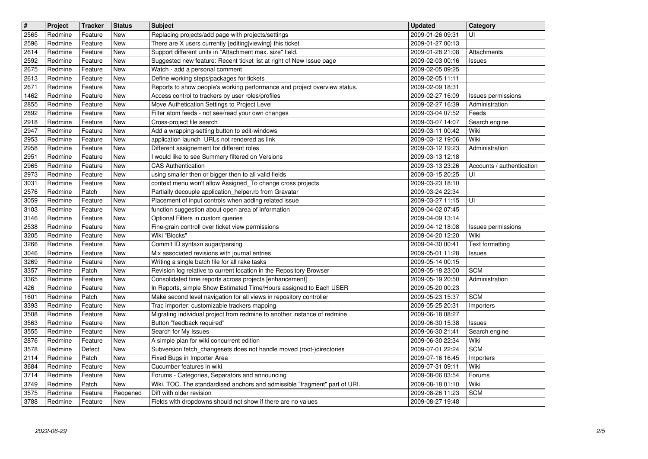| $\overline{\mathbf{t}}$ | Project            | <b>Tracker</b>     | <b>Status</b>     | <b>Subject</b>                                                                                                                   | <b>Updated</b>                       | Category                          |
|-------------------------|--------------------|--------------------|-------------------|----------------------------------------------------------------------------------------------------------------------------------|--------------------------------------|-----------------------------------|
| 2565                    | Redmine            | Feature            | <b>New</b>        | Replacing projects/add page with projects/settings                                                                               | 2009-01-26 09:31                     | UI                                |
| 2596                    | Redmine            | Feature            | New               | There are X users currently {editing viewing} this ticket                                                                        | 2009-01-27 00:13                     |                                   |
| 2614<br>2592            | Redmine<br>Redmine | Feature<br>Feature | New<br>New        | Support different units in "Attachment max. size" field.<br>Suggested new feature: Recent ticket list at right of New Issue page | 2009-01-28 21:08<br>2009-02-03 00:16 | Attachments<br>Issues             |
| 2675                    | Redmine            | Feature            | New               | Watch - add a personal comment                                                                                                   | 2009-02-05 09:25                     |                                   |
| 2613                    | Redmine            | Feature            | New               | Define working steps/packages for tickets                                                                                        | 2009-02-05 11:11                     |                                   |
| 2671                    | Redmine            | Feature            | New               | Reports to show people's working performance and project overview status.                                                        | 2009-02-09 18:31                     |                                   |
| 1462<br>2855            | Redmine<br>Redmine | Feature            | New               | Access control to trackers by user roles/profiles<br>Move Authetication Settings to Project Level                                | 2009-02-27 16:09                     | Issues permissions                |
| 2892                    | Redmine            | Feature<br>Feature | New<br>New        | Filter atom feeds - not see/read your own changes                                                                                | 2009-02-27 16:39<br>2009-03-04 07:52 | Administration<br>Feeds           |
| 2918                    | Redmine            | Feature            | New               | Cross-project file search                                                                                                        | 2009-03-07 14:07                     | Search engine                     |
| 2947                    | Redmine            | Feature            | New               | Add a wrapping-setting button to edit-windows                                                                                    | 2009-03-11 00:42                     | Wiki                              |
| 2953                    | Redmine            | Feature            | New               | application launch URLs not rendered as link                                                                                     | 2009-03-12 19:06                     | Wiki                              |
| 2958<br>2951            | Redmine<br>Redmine | Feature<br>Feature | New<br>New        | Different assignement for different roles<br>I would like to see Summery filtered on Versions                                    | 2009-03-12 19:23<br>2009-03-13 12:18 | Administration                    |
| 2965                    | Redmine            | Feature            | New               | <b>CAS Authentication</b>                                                                                                        | 2009-03-13 23:26                     | Accounts / authentication         |
| 2973                    | Redmine            | Feature            | New               | using smaller then or bigger then to all valid fields                                                                            | 2009-03-15 20:25                     | UI                                |
| 3031                    | Redmine            | Feature            | New               | context menu won't allow Assigned_To change cross projects                                                                       | 2009-03-23 18:10                     |                                   |
| 2576<br>3059            | Redmine<br>Redmine | Patch<br>Feature   | New<br>New        | Partially decouple application_helper.rb from Gravatar<br>Placement of input controls when adding related issue                  | 2009-03-24 22:34<br>2009-03-27 11:15 | UI                                |
| 3103                    | Redmine            | Feature            | New               | function suggestion about open area of information                                                                               | 2009-04-02 07:45                     |                                   |
| 3146                    | Redmine            | Feature            | New               | Optional Filters in custom queries                                                                                               | 2009-04-09 13:14                     |                                   |
| 2538                    | Redmine            | Feature            | New               | Fine-grain controll over ticket view permissions<br>Wiki "Blocks"                                                                | 2009-04-12 18:08                     | <b>Issues permissions</b><br>Wiki |
| 3205<br>3266            | Redmine<br>Redmine | Feature<br>Feature | New<br>New        | Commit ID syntaxn sugar/parsing                                                                                                  | 2009-04-20 12:20<br>2009-04-30 00:41 | <b>Text formatting</b>            |
| 3046                    | Redmine            | Feature            | New               | Mix associated revisions with journal entries                                                                                    | 2009-05-01 11:28                     | Issues                            |
| 3269                    | Redmine            | Feature            | New               | Writing a single batch file for all rake tasks                                                                                   | 2009-05-14 00:15                     |                                   |
| 3357                    | Redmine            | Patch              | New               | Revision log relative to current location in the Repository Browser                                                              | 2009-05-18 23:00                     | <b>SCM</b>                        |
| 3365<br>426             | Redmine<br>Redmine | Feature<br>Feature | New<br>New        | Consolidated time reports across projects [enhancement]<br>In Reports, simple Show Estimated Time/Hours assigned to Each USER    | 2009-05-19 20:50<br>2009-05-20 00:23 | Administration                    |
| 1601                    | Redmine            | Patch              | New               | Make second level navigation for all views in repository controller                                                              | 2009-05-23 15:37                     | <b>SCM</b>                        |
| 3393                    | Redmine            | Feature            | New               | Trac importer: customizable trackers mapping                                                                                     | 2009-05-25 20:31                     | Importers                         |
| 3508                    | Redmine            | Feature            | New               | Migrating individual project from redmine to another instance of redmine                                                         | 2009-06-18 08:27                     |                                   |
| 3563<br>3555            | Redmine<br>Redmine | Feature<br>Feature | New<br>New        | Button "feedback required"<br>Search for My Issues                                                                               | 2009-06-30 15:38<br>2009-06-30 21:41 | <b>Issues</b><br>Search engine    |
| 2876                    | Redmine            | Feature            | New               | A simple plan for wiki concurrent edition                                                                                        | 2009-06-30 22:34                     | Wiki                              |
| 3578                    | Redmine            | Defect             | New               | Subversion fetch_changesets does not handle moved (root-)directories                                                             | 2009-07-01 22:24                     | <b>SCM</b>                        |
| 2114                    | Redmine            | Patch              | New               | Fixed Bugs in Importer Area                                                                                                      | 2009-07-16 16:45                     | Importers                         |
| 3684<br>3714            | Redmine<br>Redmine | Feature<br>Feature | <b>New</b><br>New | Cucumber features in wiki<br>Forums - Categories, Separators and announcing                                                      | 2009-07-31 09:11<br>2009-08-06 03:54 | Wiki<br>Forums                    |
| 3749                    | Redmine            | Patch              | New               | Wiki. TOC. The standardised anchors and admissible "fragment" part of URI.                                                       | 2009-08-18 01:10                     | Wiki                              |
| 3575<br>3788            | Redmine            | Feature            | Reopened          | Diff with older revision<br>Fields with dropdowns should not show if there are no values                                         | 2009-08-26 11:23                     | <b>SCM</b>                        |
|                         |                    |                    |                   |                                                                                                                                  |                                      |                                   |
|                         |                    |                    |                   |                                                                                                                                  |                                      |                                   |
|                         |                    |                    |                   |                                                                                                                                  |                                      |                                   |
|                         |                    |                    |                   |                                                                                                                                  |                                      |                                   |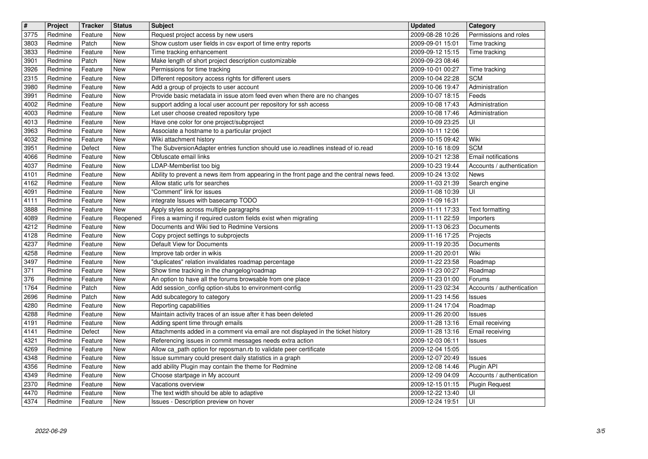| $\overline{\mathbf{H}}$ | Project            | <b>Tracker</b>     | <b>Status</b>             | <b>Subject</b>                                                                                                                                | <b>Updated</b>                       | Category                                    |
|-------------------------|--------------------|--------------------|---------------------------|-----------------------------------------------------------------------------------------------------------------------------------------------|--------------------------------------|---------------------------------------------|
| 3775<br>3803            | Redmine<br>Redmine | Feature<br>Patch   | <b>New</b><br><b>New</b>  | Request project access by new users<br>Show custom user fields in csv export of time entry reports                                            | 2009-08-28 10:26<br>2009-09-01 15:01 | Permissions and roles<br>Time tracking      |
| 3833                    | Redmine            | Feature            | New                       | Time tracking enhancement                                                                                                                     | 2009-09-12 15:15                     | Time tracking                               |
| 3901<br>3926            | Redmine<br>Redmine | Patch<br>Feature   | New<br>New                | Make length of short project description customizable<br>Permissions for time tracking                                                        | 2009-09-23 08:46<br>2009-10-01 00:27 | Time tracking                               |
| 2315                    | Redmine            | Feature            | New                       | Different repository access rights for different users                                                                                        | 2009-10-04 22:28                     | <b>SCM</b>                                  |
| 3980                    | Redmine            | Feature            | New                       | Add a group of projects to user account                                                                                                       | 2009-10-06 19:47                     | Administration                              |
| 3991<br>4002            | Redmine<br>Redmine | Feature<br>Feature | New<br>New                | Provide basic metadata in issue atom feed even when there are no changes<br>support adding a local user account per repository for ssh access | 2009-10-07 18:15<br>2009-10-08 17:43 | Feeds<br>Administration                     |
| 4003                    | Redmine            | Feature            | <b>New</b>                | Let user choose created repository type                                                                                                       | 2009-10-08 17:46                     | Administration                              |
| 4013<br>3963            | Redmine<br>Redmine | Feature<br>Feature | New<br>New                | Have one color for one project/subproject<br>Associate a hostname to a particular project                                                     | 2009-10-09 23:25<br>2009-10-11 12:06 | UI                                          |
| 4032                    | Redmine            | Feature            | New                       | Wiki attachment history                                                                                                                       | 2009-10-15 09:42                     | Wiki                                        |
| 3951                    | Redmine            | Defect<br>Feature  | New<br>New                | The SubversionAdapter entries function should use io.readlines instead of io.read<br>Obfuscate email links                                    | 2009-10-16 18:09<br>2009-10-21 12:38 | <b>SCM</b><br>Email notifications           |
| 4066<br>4037            | Redmine<br>Redmine | Feature            | New                       | LDAP-Memberlist too big                                                                                                                       | 2009-10-23 19:44                     | Accounts / authentication                   |
| 4101<br>4162            | Redmine            | Feature            | New<br>New                | Ability to prevent a news item from appearing in the front page and the central news feed.<br>Allow static urls for searches                  | 2009-10-24 13:02<br>2009-11-03 21:39 | News                                        |
| 4091                    | Redmine<br>Redmine | Feature<br>Feature | <b>New</b>                | "Comment" link for issues                                                                                                                     | 2009-11-08 10:39                     | Search engine<br>UI                         |
| 4111                    | Redmine<br>Redmine | Feature<br>Feature | New<br><b>New</b>         | integrate Issues with basecamp TODO                                                                                                           | 2009-11-09 16:31<br>2009-11-11 17:33 |                                             |
| 3888<br>4089            | Redmine            | Feature            | Reopened                  | Apply styles across multiple paragraphs<br>Fires a warning if required custom fields exist when migrating                                     | 2009-11-11 22:59                     | <b>Text formatting</b><br>Importers         |
| 4212                    | Redmine            | Feature            | New                       | Documents and Wiki tied to Redmine Versions                                                                                                   | 2009-11-13 06:23                     | Documents                                   |
| 4128<br>4237            | Redmine<br>Redmine | Feature<br>Feature | New<br>New                | Copy project settings to subprojects<br>Default View for Documents                                                                            | 2009-11-16 17:25<br>2009-11-19 20:35 | Projects<br>Documents                       |
| 4258                    | Redmine            | Feature            | New                       | Improve tab order in wikis                                                                                                                    | 2009-11-20 20:01                     | Wiki                                        |
| 3497<br>371             | Redmine<br>Redmine | Feature<br>Feature | New<br>New                | "duplicates" relation invalidates roadmap percentage<br>Show time tracking in the changelog/roadmap                                           | 2009-11-22 23:58<br>2009-11-23 00:27 | Roadmap<br>Roadmap                          |
| 376                     | Redmine            | Feature            | New                       | An option to have all the forums browsable from one place                                                                                     | 2009-11-23 01:00                     | Forums                                      |
| 1764<br>2696            | Redmine<br>Redmine | Patch<br>Patch     | New<br>New                | Add session_config option-stubs to environment-config<br>Add subcategory to category                                                          | 2009-11-23 02:34<br>2009-11-23 14:56 | Accounts / authentication<br><b>Issues</b>  |
| 4280                    | Redmine            | Feature            | New                       | Reporting capabilities                                                                                                                        | 2009-11-24 17:04                     | Roadmap                                     |
| 4288<br>4191            | Redmine<br>Redmine | Feature<br>Feature | New<br>New                | Maintain activity traces of an issue after it has been deleted<br>Adding spent time through emails                                            | 2009-11-26 20:00                     | <b>Issues</b>                               |
| 4141                    | Redmine            | Defect             | New                       | Attachments added in a comment via email are not displayed in the ticket history                                                              | 2009-11-28 13:16<br>2009-11-28 13:16 | Email receiving<br>Email receiving          |
| 4321                    | Redmine            | Feature            | New                       | Referencing issues in commit messages needs extra action                                                                                      | 2009-12-03 06:11                     | Issues                                      |
| 4269<br>4348            | Redmine<br>Redmine | Feature<br>Feature | <b>New</b><br>New         | Allow ca_path option for reposman.rb to validate peer certificate<br>Issue summary could present daily statistics in a graph                  | 2009-12-04 15:05<br>2009-12-07 20:49 | <b>Issues</b>                               |
| 4356                    | Redmine            | Feature            | $\overline{\mathsf{New}}$ | add ability Plugin may contain the theme for Redmine                                                                                          | 2009-12-08 14:46                     | Plugin API                                  |
| 4349<br>2370            | Redmine<br>Redmine | Feature<br>Feature | New<br>New                | Choose startpage in My account<br>Vacations overview                                                                                          | 2009-12-09 04:09<br>2009-12-15 01:15 | Accounts / authentication<br>Plugin Request |
| 4470<br>4374            | Redmine<br>Redmine | Feature<br>Feature | New<br>New                | The text width should be able to adaptive<br>Issues - Description preview on hover                                                            | 2009-12-22 13:40<br>2009-12-24 19:51 | UI<br>UI                                    |
|                         |                    |                    |                           |                                                                                                                                               |                                      |                                             |
|                         |                    |                    |                           |                                                                                                                                               |                                      |                                             |
|                         |                    |                    |                           |                                                                                                                                               |                                      |                                             |
|                         |                    |                    |                           |                                                                                                                                               |                                      |                                             |
|                         |                    |                    |                           |                                                                                                                                               |                                      |                                             |
|                         |                    |                    |                           |                                                                                                                                               |                                      |                                             |
|                         |                    |                    |                           |                                                                                                                                               |                                      |                                             |
|                         |                    |                    |                           |                                                                                                                                               |                                      |                                             |
|                         |                    |                    |                           |                                                                                                                                               |                                      |                                             |
|                         |                    |                    |                           |                                                                                                                                               |                                      |                                             |
|                         |                    |                    |                           |                                                                                                                                               |                                      |                                             |
|                         |                    |                    |                           |                                                                                                                                               |                                      |                                             |
|                         |                    |                    |                           |                                                                                                                                               |                                      |                                             |
|                         |                    |                    |                           |                                                                                                                                               |                                      |                                             |
|                         |                    |                    |                           |                                                                                                                                               |                                      |                                             |
|                         |                    |                    |                           |                                                                                                                                               |                                      |                                             |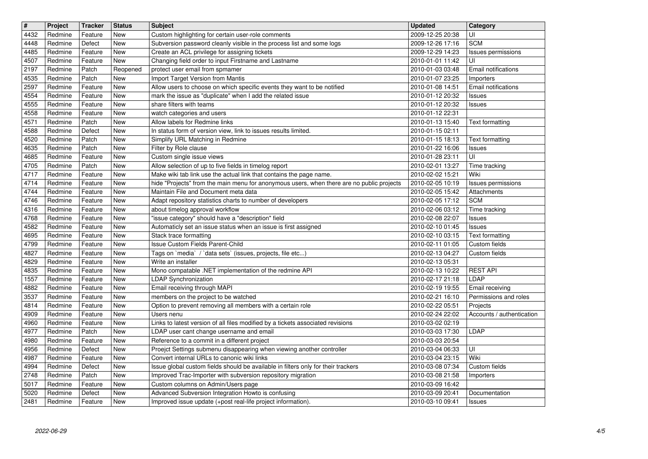| $\overline{\mathbf{H}}$ | Project            | <b>Tracker</b>     | <b>Status</b>            | <b>Subject</b>                                                                                                              | <b>Updated</b>                       | Category                       |
|-------------------------|--------------------|--------------------|--------------------------|-----------------------------------------------------------------------------------------------------------------------------|--------------------------------------|--------------------------------|
| 4432                    | Redmine            | Feature            | <b>New</b>               | Custom highlighting for certain user-role comments                                                                          | 2009-12-25 20:38                     | UI                             |
| 4448<br>4485            | Redmine<br>Redmine | Defect<br>Feature  | New<br>New               | Subversion password cleanly visible in the process list and some logs<br>Create an ACL privilege for assigning tickets      | 2009-12-26 17:16<br>2009-12-29 14:23 | <b>SCM</b>                     |
| 4507                    | Redmine            | Feature            | New                      | Changing field order to input Firstname and Lastname                                                                        | 2010-01-01 11:42                     | Issues permissions<br>UI       |
| 2197                    | Redmine            | Patch              | Reopened                 | protect user email from spmamer                                                                                             | 2010-01-03 03:48                     | Email notifications            |
| 4535                    | Redmine            | Patch              | <b>New</b>               | Import Target Version from Mantis                                                                                           | 2010-01-07 23:25                     | Importers                      |
| 2597                    | Redmine            | Feature            | <b>New</b>               | Allow users to choose on which specific events they want to be notified                                                     | 2010-01-08 14:51                     | Email notifications            |
| 4554                    | Redmine            | Feature            | New                      | mark the issue as "duplicate" when I add the related issue                                                                  | 2010-01-12 20:32                     | <b>Issues</b>                  |
| 4555<br>4558            | Redmine<br>Redmine | Feature<br>Feature | <b>New</b><br><b>New</b> | share filters with teams<br>watch categories and users                                                                      | 2010-01-12 20:32<br>2010-01-12 22:31 | <b>Issues</b>                  |
| 4571                    | Redmine            | Patch              | New                      | Allow labels for Redmine links                                                                                              | 2010-01-13 15:40                     | Text formatting                |
| 4588                    | Redmine            | Defect             | New                      | In status form of version view, link to issues results limited.                                                             | 2010-01-15 02:11                     |                                |
| 4520                    | Redmine            | Patch              | New                      | Simplify URL Matching in Redmine                                                                                            | 2010-01-15 18:13                     | Text formatting                |
| 4635                    | Redmine            | Patch              | <b>New</b>               | Filter by Role clause                                                                                                       | 2010-01-22 16:06                     | <b>Issues</b>                  |
| 4685<br>4705            | Redmine<br>Redmine | Feature<br>Patch   | <b>New</b><br><b>New</b> | Custom single issue views<br>Allow selection of up to five fields in timelog report                                         | 2010-01-28 23:11<br>2010-02-01 13:27 | UI<br>Time tracking            |
| 4717                    | Redmine            | Feature            | New                      | Make wiki tab link use the actual link that contains the page name.                                                         | 2010-02-02 15:21                     | Wiki                           |
| 4714                    | Redmine            | Feature            | <b>New</b>               | hide "Projects" from the main menu for anonymous users, when there are no public projects                                   | 2010-02-05 10:19                     | Issues permissions             |
| 4744                    | Redmine            | Feature            | New                      | Maintain File and Document meta data                                                                                        | 2010-02-05 15:42                     | Attachments                    |
| 4746                    | Redmine            | Feature            | New                      | Adapt repository statistics charts to number of developers                                                                  | 2010-02-05 17:12                     | <b>SCM</b>                     |
| 4316                    | Redmine<br>Redmine | Feature<br>Feature | New<br><b>New</b>        | about timelog approval workflow<br>'issue category" should have a "description" field                                       | 2010-02-06 03:12<br>2010-02-08 22:07 | Time tracking                  |
| 4768<br>4582            | Redmine            | Feature            | New                      | Automaticly set an issue status when an issue is first assigned                                                             | 2010-02-10 01:45                     | <b>Issues</b><br><b>Issues</b> |
| 4695                    | Redmine            | Feature            | New                      | Stack trace formatting                                                                                                      | 2010-02-10 03:15                     | Text formatting                |
| 4799                    | Redmine            | Feature            | <b>New</b>               | Issue Custom Fields Parent-Child                                                                                            | 2010-02-11 01:05                     | Custom fields                  |
| 4827                    | Redmine            | Feature            | <b>New</b>               | Tags on `media` / `data sets` (issues, projects, file etc)                                                                  | 2010-02-13 04:27                     | Custom fields                  |
| 4829<br>4835            | Redmine<br>Redmine | Feature<br>Feature | New<br>New               | Write an installer                                                                                                          | 2010-02-13 05:31                     | <b>REST API</b>                |
| 1557                    | Redmine            | Feature            | New                      | Mono compatable .NET implementation of the redmine API<br><b>LDAP Synchronization</b>                                       | 2010-02-13 10:22<br>2010-02-17 21:18 | <b>LDAP</b>                    |
| 4882                    | Redmine            | Feature            | New                      | Email receiving through MAPI                                                                                                | 2010-02-19 19:55                     | Email receiving                |
| 3537                    | Redmine            | Feature            | <b>New</b>               | members on the project to be watched                                                                                        | 2010-02-21 16:10                     | Permissions and roles          |
| 4814                    | Redmine            | Feature            | <b>New</b>               | Option to prevent removing all members with a certain role                                                                  | 2010-02-22 05:51                     | Projects                       |
| 4909                    | Redmine            | Feature            | <b>New</b>               | Users nenu                                                                                                                  | 2010-02-24 22:02                     | Accounts / authentication      |
| 4960<br>4977            | Redmine<br>Redmine | Feature<br>Patch   | <b>New</b><br><b>New</b> | Links to latest version of all files modified by a tickets associated revisions<br>LDAP user cant change username and email | 2010-03-02 02:19<br>2010-03-03 17:30 | LDAP                           |
| 4980                    | Redmine            | Feature            | <b>New</b>               | Reference to a commit in a different project                                                                                | 2010-03-03 20:54                     |                                |
| 4956                    | Redmine            | Defect             | <b>New</b>               | Proejct Settings submenu disappearing when viewing another controller                                                       | 2010-03-04 06:33                     | UI                             |
| 4987                    | Redmine            | Feature            | <b>New</b>               | Convert internal URLs to canonic wiki links                                                                                 | 2010-03-04 23:15                     | Wiki                           |
| 4994                    | Redmine            | Defect             | New                      | Issue global custom fields should be available in filters only for their trackers                                           | 2010-03-08 07:34                     | Custom fields                  |
| 2748<br>5017            | Redmine<br>Redmine | Patch<br>Feature   | New<br>New               | Improved Trac-Importer with subversion repository migration<br>Custom columns on Admin/Users page                           | 2010-03-08 21:58<br>2010-03-09 16:42 | <b>Importers</b>               |
| 5020                    | Redmine            | Defect             | New                      | Advanced Subversion Integration Howto is confusing                                                                          | 2010-03-09 20:41                     | Documentation                  |
| 2481                    | Redmine            | Feature            | New                      | Improved issue update (+post real-life project information).                                                                | 2010-03-10 09:41                     | <b>Issues</b>                  |
|                         |                    |                    |                          |                                                                                                                             |                                      |                                |
|                         |                    |                    |                          |                                                                                                                             |                                      |                                |
|                         |                    |                    |                          |                                                                                                                             |                                      |                                |
|                         |                    |                    |                          |                                                                                                                             |                                      |                                |
|                         |                    |                    |                          |                                                                                                                             |                                      |                                |
|                         |                    |                    |                          |                                                                                                                             |                                      |                                |
|                         |                    |                    |                          |                                                                                                                             |                                      |                                |
|                         |                    |                    |                          |                                                                                                                             |                                      |                                |
|                         |                    |                    |                          |                                                                                                                             |                                      |                                |
|                         |                    |                    |                          |                                                                                                                             |                                      |                                |
|                         |                    |                    |                          |                                                                                                                             |                                      |                                |
|                         |                    |                    |                          |                                                                                                                             |                                      |                                |
|                         |                    |                    |                          |                                                                                                                             |                                      |                                |